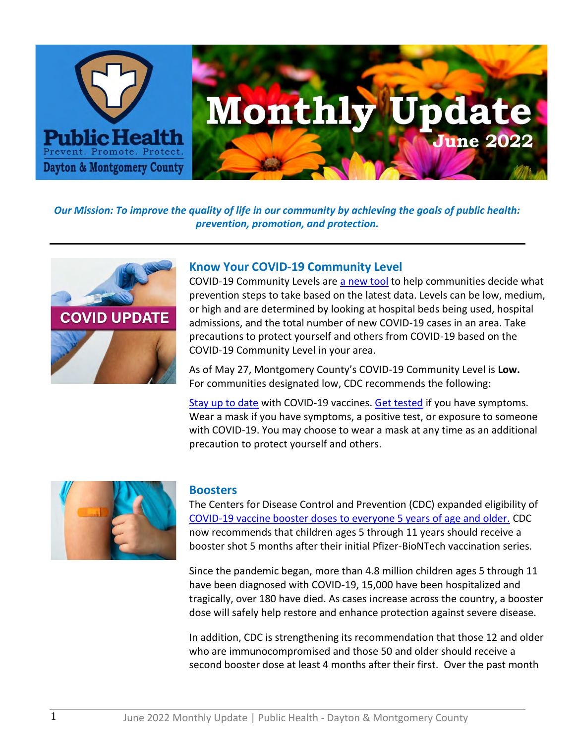

*Our Mission: To improve the quality of life in our community by achieving the goals of public health: prevention, promotion, and protection.*



## **Know Your COVID-19 Community Level**

COVID-19 Community Levels are [a new tool](https://www.cdc.gov/coronavirus/2019-ncov/your-health/covid-by-county.html) to help communities decide what prevention steps to take based on the latest data. Levels can be low, medium, or high and are determined by looking at hospital beds being used, hospital admissions, and the total number of new COVID-19 cases in an area. Take precautions to protect yourself and others from COVID-19 based on the COVID-19 Community Level in your area.

As of May 27, Montgomery County's COVID-19 Community Level is **Low.** For communities designated low, CDC recommends the following:

[Stay up to date](https://www.cdc.gov/coronavirus/2019-ncov/vaccines/stay-up-to-date.html) with COVID-19 vaccines. [Get tested](https://www.cdc.gov/coronavirus/2019-ncov/testing/diagnostic-testing.html) if you have symptoms. Wear a mask if you have symptoms, a positive test, or exposure to someone with COVID-19. You may choose to wear a mask at any time as an additional precaution to protect yourself and others.



#### **Boosters**

The Centers for Disease Control and Prevention (CDC) expanded eligibility of [COVID-19 vaccine booster doses to everyone 5 years of age and older.](https://www.cdc.gov/media/releases/2022/s0519-covid-booster-acip.html#:~:text=%E2%80%9CToday%2C%20I%20endorsed%20ACIP) CDC now recommends that children ages 5 through 11 years should receive a booster shot 5 months after their initial Pfizer-BioNTech vaccination series.

Since the pandemic began, more than 4.8 million children ages 5 through 11 have been diagnosed with COVID-19, 15,000 have been hospitalized and tragically, over 180 have died. As cases increase across the country, a booster dose will safely help restore and enhance protection against severe disease.

In addition, CDC is strengthening its recommendation that those 12 and older who are immunocompromised and those 50 and older should receive a second booster dose at least 4 months after their first. Over the past month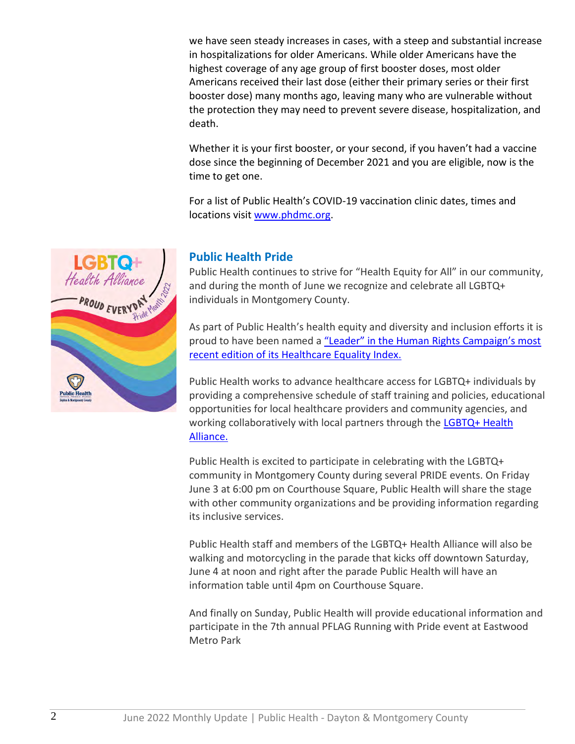we have seen steady increases in cases, with a steep and substantial increase in hospitalizations for older Americans. While older Americans have the highest coverage of any age group of first booster doses, most older Americans received their last dose (either their primary series or their first booster dose) many months ago, leaving many who are vulnerable without the protection they may need to prevent severe disease, hospitalization, and death.

Whether it is your first booster, or your second, if you haven't had a vaccine dose since the beginning of December 2021 and you are eligible, now is the time to get one.

For a list of Public Health's COVID-19 vaccination clinic dates, times and locations visit [www.phdmc.org.](http://www.phdmc.org/)



# **Public Health Pride**

Public Health continues to strive for "Health Equity for All" in our community, and during the month of June we recognize and celebrate all LGBTQ+ individuals in Montgomery County.

As part of Public Health's health equity and diversity and inclusion efforts it is proud to have been named a "Leader" in the Human Rights Campaign's most [recent edition of its Healthcare Equality Index.](https://nam10.safelinks.protection.outlook.com/?url=https%3A%2F%2Fwww.phdmc.org%2Fnews-release%2F576-public-health-earns-top-score-in-human-rights-campaign-foundation-s-2022-healthcare-equality-index&data=05%7C01%7Cjsteele%40phdmc.org%7Cd8b1ba33f5c74d4ff3c608da3f30effd%7Cefedc9042baf4ad68c0ec0e87981f768%7C0%7C0%7C637891776654249929%7CUnknown%7CTWFpbGZsb3d8eyJWIjoiMC4wLjAwMDAiLCJQIjoiV2luMzIiLCJBTiI6Ik1haWwiLCJXVCI6Mn0%3D%7C3000%7C%7C%7C&sdata=5sKh23gLIcNA6%2BfEAs4eknA2UoNjF65wROlkm0StOqE%3D&reserved=0)

Public Health works to advance healthcare access for LGBTQ+ individuals by providing a comprehensive schedule of staff training and policies, educational opportunities for local healthcare providers and community agencies, and working collaboratively with local partners through the LGBTQ+ Health [Alliance.](https://nam10.safelinks.protection.outlook.com/?url=https%3A%2F%2Fwww.phdmc.org%2Fspecial%2Flgbtq-resource-guide%2F&data=05%7C01%7Cjsteele%40phdmc.org%7Cd8b1ba33f5c74d4ff3c608da3f30effd%7Cefedc9042baf4ad68c0ec0e87981f768%7C0%7C0%7C637891776654249929%7CUnknown%7CTWFpbGZsb3d8eyJWIjoiMC4wLjAwMDAiLCJQIjoiV2luMzIiLCJBTiI6Ik1haWwiLCJXVCI6Mn0%3D%7C3000%7C%7C%7C&sdata=ROXMB3B2Q%2FterFMcVab0neF8IxvjhLkjvxBQGgdcn9A%3D&reserved=0)

Public Health is excited to participate in celebrating with the LGBTQ+ community in Montgomery County during several PRIDE events. On Friday June 3 at 6:00 pm on Courthouse Square, Public Health will share the stage with other community organizations and be providing information regarding its inclusive services.

Public Health staff and members of the LGBTQ+ Health Alliance will also be walking and motorcycling in the parade that kicks off downtown Saturday, June 4 at noon and right after the parade Public Health will have an information table until 4pm on Courthouse Square.

And finally on Sunday, Public Health will provide educational information and participate in the 7th annual PFLAG Running with Pride event at Eastwood Metro Park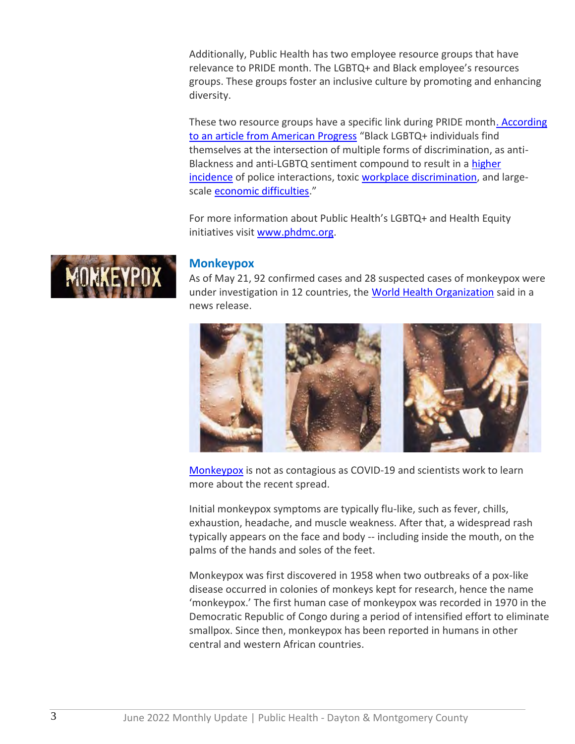Additionally, Public Health has two employee resource groups that have relevance to PRIDE month. The LGBTQ+ and Black employee's resources groups. These groups foster an inclusive culture by promoting and enhancing diversity.

These two resource groups have a specific link during PRIDE mont[h. According](https://nam10.safelinks.protection.outlook.com/?url=https%3A%2F%2Fwww.americanprogress.org%2Farticle%2Fblack-lgbtq-individuals-experience-heightened-levels-discrimination%2F&data=05%7C01%7Cjsteele%40phdmc.org%7Cd8b1ba33f5c74d4ff3c608da3f30effd%7Cefedc9042baf4ad68c0ec0e87981f768%7C0%7C0%7C637891776654249929%7CUnknown%7CTWFpbGZsb3d8eyJWIjoiMC4wLjAwMDAiLCJQIjoiV2luMzIiLCJBTiI6Ik1haWwiLCJXVCI6Mn0%3D%7C3000%7C%7C%7C&sdata=jeO2KBkl6kVYBl5rwDJmIljhzzgreVU7HQ%2FV6PZXftE%3D&reserved=0)  [to an article from American Progress](https://nam10.safelinks.protection.outlook.com/?url=https%3A%2F%2Fwww.americanprogress.org%2Farticle%2Fblack-lgbtq-individuals-experience-heightened-levels-discrimination%2F&data=05%7C01%7Cjsteele%40phdmc.org%7Cd8b1ba33f5c74d4ff3c608da3f30effd%7Cefedc9042baf4ad68c0ec0e87981f768%7C0%7C0%7C637891776654249929%7CUnknown%7CTWFpbGZsb3d8eyJWIjoiMC4wLjAwMDAiLCJQIjoiV2luMzIiLCJBTiI6Ik1haWwiLCJXVCI6Mn0%3D%7C3000%7C%7C%7C&sdata=jeO2KBkl6kVYBl5rwDJmIljhzzgreVU7HQ%2FV6PZXftE%3D&reserved=0) "Black LGBTQ+ individuals find themselves at the intersection of multiple forms of discrimination, as anti-Blackness and anti-LGBTQ sentiment compound to result in a [higher](https://nam10.safelinks.protection.outlook.com/?url=https%3A%2F%2Fwww.them.us%2Fstory%2Fblack-lgbtq-men-police-discrimination-health-effects&data=05%7C01%7Cjsteele%40phdmc.org%7Cd8b1ba33f5c74d4ff3c608da3f30effd%7Cefedc9042baf4ad68c0ec0e87981f768%7C0%7C0%7C637891776654249929%7CUnknown%7CTWFpbGZsb3d8eyJWIjoiMC4wLjAwMDAiLCJQIjoiV2luMzIiLCJBTiI6Ik1haWwiLCJXVCI6Mn0%3D%7C3000%7C%7C%7C&sdata=hHonzxAKYuc4%2FZ%2FgKZiQap1kW%2FX7snCUIsl5%2FB6FzC0%3D&reserved=0)  [incidence](https://nam10.safelinks.protection.outlook.com/?url=https%3A%2F%2Fwww.them.us%2Fstory%2Fblack-lgbtq-men-police-discrimination-health-effects&data=05%7C01%7Cjsteele%40phdmc.org%7Cd8b1ba33f5c74d4ff3c608da3f30effd%7Cefedc9042baf4ad68c0ec0e87981f768%7C0%7C0%7C637891776654249929%7CUnknown%7CTWFpbGZsb3d8eyJWIjoiMC4wLjAwMDAiLCJQIjoiV2luMzIiLCJBTiI6Ik1haWwiLCJXVCI6Mn0%3D%7C3000%7C%7C%7C&sdata=hHonzxAKYuc4%2FZ%2FgKZiQap1kW%2FX7snCUIsl5%2FB6FzC0%3D&reserved=0) of police interactions, toxic [workplace discrimination,](https://nam10.safelinks.protection.outlook.com/?url=https%3A%2F%2Flegacy.npr.org%2Fdocuments%2F2017%2Fnov%2Fnpr-discrimination-lgbtq-final.pdf&data=05%7C01%7Cjsteele%40phdmc.org%7Cd8b1ba33f5c74d4ff3c608da3f30effd%7Cefedc9042baf4ad68c0ec0e87981f768%7C0%7C0%7C637891776654249929%7CUnknown%7CTWFpbGZsb3d8eyJWIjoiMC4wLjAwMDAiLCJQIjoiV2luMzIiLCJBTiI6Ik1haWwiLCJXVCI6Mn0%3D%7C3000%7C%7C%7C&sdata=X4Fp16Uu%2BA2rd9Ifi8QM7eDlqpFuw0w9mNzvZyVp7h0%3D&reserved=0) and largescale [economic difficulties](https://nam10.safelinks.protection.outlook.com/?url=https%3A%2F%2Fwww.urban.org%2Furban-wire%2Fcovid-19-action-centers-black-lgbtq-people-can-address-housing-inequities&data=05%7C01%7Cjsteele%40phdmc.org%7Cd8b1ba33f5c74d4ff3c608da3f30effd%7Cefedc9042baf4ad68c0ec0e87981f768%7C0%7C0%7C637891776654249929%7CUnknown%7CTWFpbGZsb3d8eyJWIjoiMC4wLjAwMDAiLCJQIjoiV2luMzIiLCJBTiI6Ik1haWwiLCJXVCI6Mn0%3D%7C3000%7C%7C%7C&sdata=fnkr26mett1QlEgGZend6cz7kVyDkusRdk62ka3VPp0%3D&reserved=0)."

For more information about Public Health's LGBTQ+ and Health Equity initiatives visit [www.phdmc.org.](https://nam10.safelinks.protection.outlook.com/?url=http%3A%2F%2Fwww.phdmc.org%2F&data=05%7C01%7Cjsteele%40phdmc.org%7Cd8b1ba33f5c74d4ff3c608da3f30effd%7Cefedc9042baf4ad68c0ec0e87981f768%7C0%7C0%7C637891776654249929%7CUnknown%7CTWFpbGZsb3d8eyJWIjoiMC4wLjAwMDAiLCJQIjoiV2luMzIiLCJBTiI6Ik1haWwiLCJXVCI6Mn0%3D%7C3000%7C%7C%7C&sdata=tJdFIMX8Ff8hMlbIjE%2BsOX6pKGq0zZodAJt056k9GUs%3D&reserved=0)



## **Monkeypox**

As of May 21, 92 confirmed cases and 28 suspected cases of monkeypox were under investigation in 12 countries, the [World Health Organization](https://nam10.safelinks.protection.outlook.com/?url=https%3A%2F%2Fnphic.org%2Findex.php%3Foption%3Dcom_acym%26ctrl%3Dfronturl%26task%3Dclick%26urlid%3D750%26userid%3D1875%26mailid%3D1193&data=05%7C01%7Cdsuffoletto%40phdmc.org%7Cdff73003fe894d6d11d808da3db5d454%7Cefedc9042baf4ad68c0ec0e87981f768%7C0%7C0%7C637890148430698095%7CUnknown%7CTWFpbGZsb3d8eyJWIjoiMC4wLjAwMDAiLCJQIjoiV2luMzIiLCJBTiI6Ik1haWwiLCJXVCI6Mn0%3D%7C3000%7C%7C%7C&sdata=hm2If4GPGVGinPo46ZjSr9FZ2lIeASQRwZw6McL7nmI%3D&reserved=0) said in a news release.



[Monkeypox](https://www.cdc.gov/poxvirus/monkeypox/index.html) is not as contagious as COVID-19 and scientists work to learn more about the recent spread.

Initial monkeypox symptoms are typically flu-like, such as fever, chills, exhaustion, headache, and muscle weakness. After that, a widespread rash typically appears on the face and body -- including inside the mouth, on the palms of the hands and soles of the feet.

Monkeypox was first discovered in 1958 when two outbreaks of a pox-like disease occurred in colonies of monkeys kept for research, hence the name 'monkeypox.' The first human case of monkeypox was recorded in 1970 in the Democratic Republic of Congo during a period of intensified effort to eliminate smallpox. Since then, monkeypox has been reported in humans in other central and western African countries.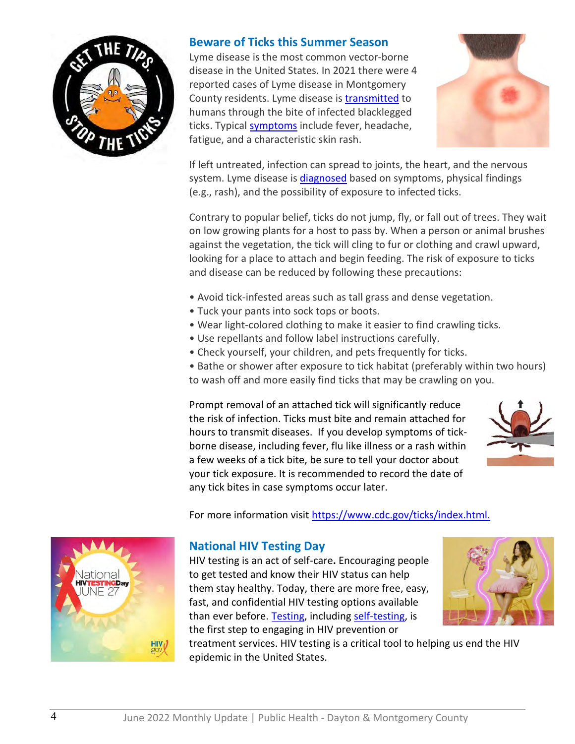

# **Beware of Ticks this Summer Season**

Lyme disease is the most common vector-borne disease in the United States. In 2021 there were 4 reported cases of Lyme disease in Montgomery County residents. Lyme disease is [transmitted](https://www.cdc.gov/lyme/transmission/index.html) to humans through the bite of infected blacklegged ticks. Typical [symptoms](https://www.cdc.gov/lyme/signs_symptoms/index.html) include fever, headache, fatigue, and a characteristic skin rash.



If left untreated, infection can spread to joints, the heart, and the nervous system. Lyme disease is [diagnosed](https://www.cdc.gov/lyme/diagnosistesting/index.html) based on symptoms, physical findings (e.g., rash), and the possibility of exposure to infected ticks.

Contrary to popular belief, ticks do not jump, fly, or fall out of trees. They wait on low growing plants for a host to pass by. When a person or animal brushes against the vegetation, the tick will cling to fur or clothing and crawl upward, looking for a place to attach and begin feeding. The risk of exposure to ticks and disease can be reduced by following these precautions:

- Avoid tick-infested areas such as tall grass and dense vegetation.
- Tuck your pants into sock tops or boots.
- Wear light-colored clothing to make it easier to find crawling ticks.
- Use repellants and follow label instructions carefully.
- Check yourself, your children, and pets frequently for ticks.
- Bathe or shower after exposure to tick habitat (preferably within two hours) to wash off and more easily find ticks that may be crawling on you.

Prompt removal of an attached tick will significantly reduce the risk of infection. Ticks must bite and remain attached for hours to transmit diseases. If you develop symptoms of tickborne disease, including fever, flu like illness or a rash within a few weeks of a tick bite, be sure to tell your doctor about your tick exposure. It is recommended to record the date of any tick bites in case symptoms occur later.



For more information visit<https://www.cdc.gov/ticks/index.html.>



# **National HIV Testing Day**

HIV testing is an act of self-care**.** Encouraging people to get tested and know their HIV status can help them stay healthy. Today, there are more free, easy, fast, and confidential HIV testing options available than ever before. [Testing,](https://www.cdc.gov/stophivtogether/hiv-testing/index.html) including [self-testing,](https://www.cdc.gov/stophivtogether/hiv-testing/self-testing.html) is the first step to engaging in HIV prevention or



treatment services. HIV testing is a critical tool to helping us end the HIV epidemic in the United States.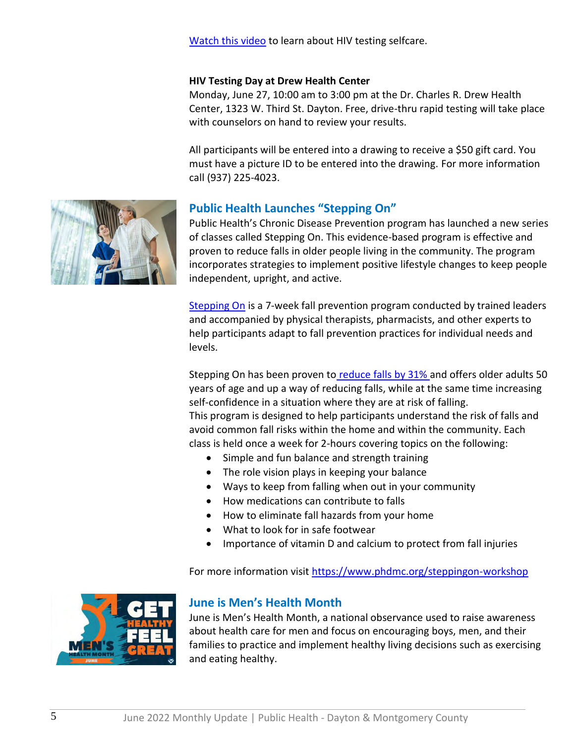[Watch this video](https://youtu.be/de5Ilbft62c) to learn about HIV testing selfcare.

#### **HIV Testing Day at Drew Health Center**

Monday, June 27, 10:00 am to 3:00 pm at the Dr. Charles R. Drew Health Center, 1323 W. Third St. Dayton. Free, drive-thru rapid testing will take place with counselors on hand to review your results.

All participants will be entered into a drawing to receive a \$50 gift card. You must have a picture ID to be entered into the drawing. For more information call (937) 225-4023.



# **Public Health Launches "Stepping On"**

Public Health's Chronic Disease Prevention program has launched a new series of classes called Stepping On. This evidence-based program is effective and proven to reduce falls in older people living in the community. The program incorporates strategies to implement positive lifestyle changes to keep people independent, upright, and active.

[Stepping On](http://www.steppingon.com/about/) is a 7-week fall prevention program conducted by trained leaders and accompanied by physical therapists, pharmacists, and other experts to help participants adapt to fall prevention practices for individual needs and levels.

Stepping On has been proven to [reduce falls by 31%](http://www.steppingon.com/research/) and offers older adults 50 years of age and up a way of reducing falls, while at the same time increasing self-confidence in a situation where they are at risk of falling. This program is designed to help participants understand the risk of falls and avoid common fall risks within the home and within the community. Each class is held once a week for 2-hours covering topics on the following:

- Simple and fun balance and strength training
- The role vision plays in keeping your balance
- Ways to keep from falling when out in your community
- How medications can contribute to falls
- How to eliminate fall hazards from your home
- What to look for in safe footwear
- Importance of vitamin D and calcium to protect from fall injuries

For more information visit<https://www.phdmc.org/steppingon-workshop>



# **June is Men's Health Month**

June is Men's Health Month, a national observance used to raise awareness about health care for men and focus on encouraging boys, men, and their families to practice and implement healthy living decisions such as exercising and eating healthy.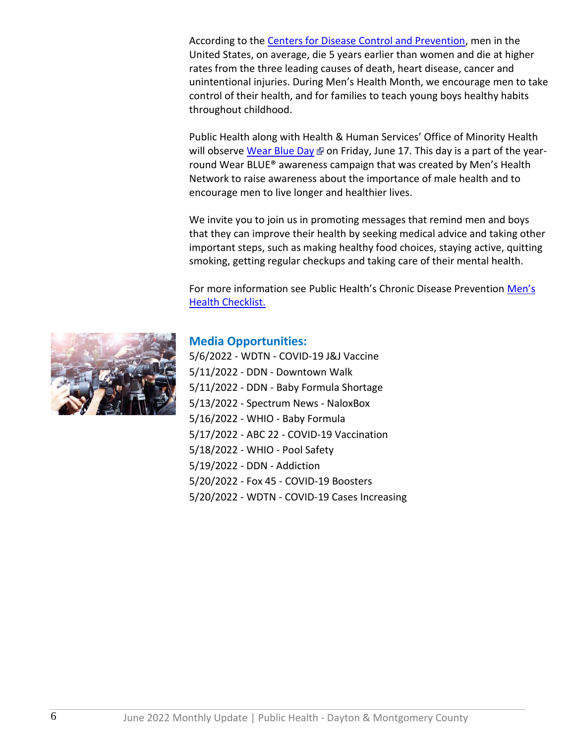According to the [Centers for Disease Control and Prevention,](https://www.cdc.gov/nchs/products/databriefs/db355.htm) men in the United States, on average, die 5 years earlier than women and die at higher rates from the three leading causes of death, heart disease, cancer and unintentional injuries. During Men's Health Month, we encourage men to take control of their health, and for families to teach young boys healthy habits throughout childhood.

Public Health along with Health & Human Services' Office of Minority Health will observe [Wear Blue Day](http://www.menshealthnetwork.org/wearblue/)  $\Phi$  on Friday, June 17. This day is a part of the yearround Wear BLUE® awareness campaign that was created by Men's Health Network to raise awareness about the importance of male health and to encourage men to live longer and healthier lives.

We invite you to join us in promoting messages that remind men and boys that they can improve their health by seeking medical advice and taking other important steps, such as making healthy food choices, staying active, quitting smoking, getting regular checkups and taking care of their mental health.

For more information see Public Health's Chronic Disease Prevention Men's [Health Checklist.](https://www.phdmc.org/program-documents/healthy-lifestyles/gumc/program/mens-health/2421-mens-health-checklist/file)



# **Media Opportunities:**

5/6/2022 - WDTN - COVID-19 J&J Vaccine 5/11/2022 - DDN - Downtown Walk 5/11/2022 - DDN - Baby Formula Shortage 5/13/2022 - Spectrum News - NaloxBox 5/16/2022 - WHIO - Baby Formula 5/17/2022 - ABC 22 - COVID-19 Vaccination 5/18/2022 - WHIO - Pool Safety 5/19/2022 - DDN - Addiction 5/20/2022 - Fox 45 - COVID-19 Boosters 5/20/2022 - WDTN - COVID-19 Cases Increasing